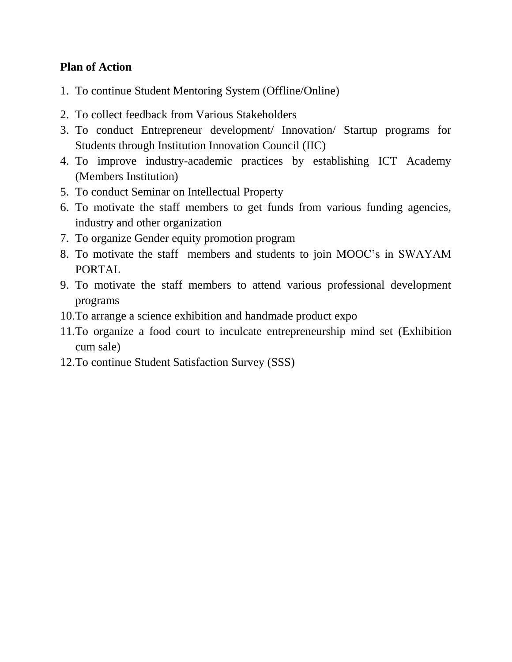## **Plan of Action**

- 1. To continue Student Mentoring System (Offline/Online)
- 2. To collect feedback from Various Stakeholders
- 3. To conduct Entrepreneur development/ Innovation/ Startup programs for Students through Institution Innovation Council (IIC)
- 4. To improve industry-academic practices by establishing ICT Academy (Members Institution)
- 5. To conduct Seminar on Intellectual Property
- 6. To motivate the staff members to get funds from various funding agencies, industry and other organization
- 7. To organize Gender equity promotion program
- 8. To motivate the staff members and students to join MOOC's in SWAYAM PORTAL
- 9. To motivate the staff members to attend various professional development programs
- 10.To arrange a science exhibition and handmade product expo
- 11.To organize a food court to inculcate entrepreneurship mind set (Exhibition cum sale)
- 12.To continue Student Satisfaction Survey (SSS)